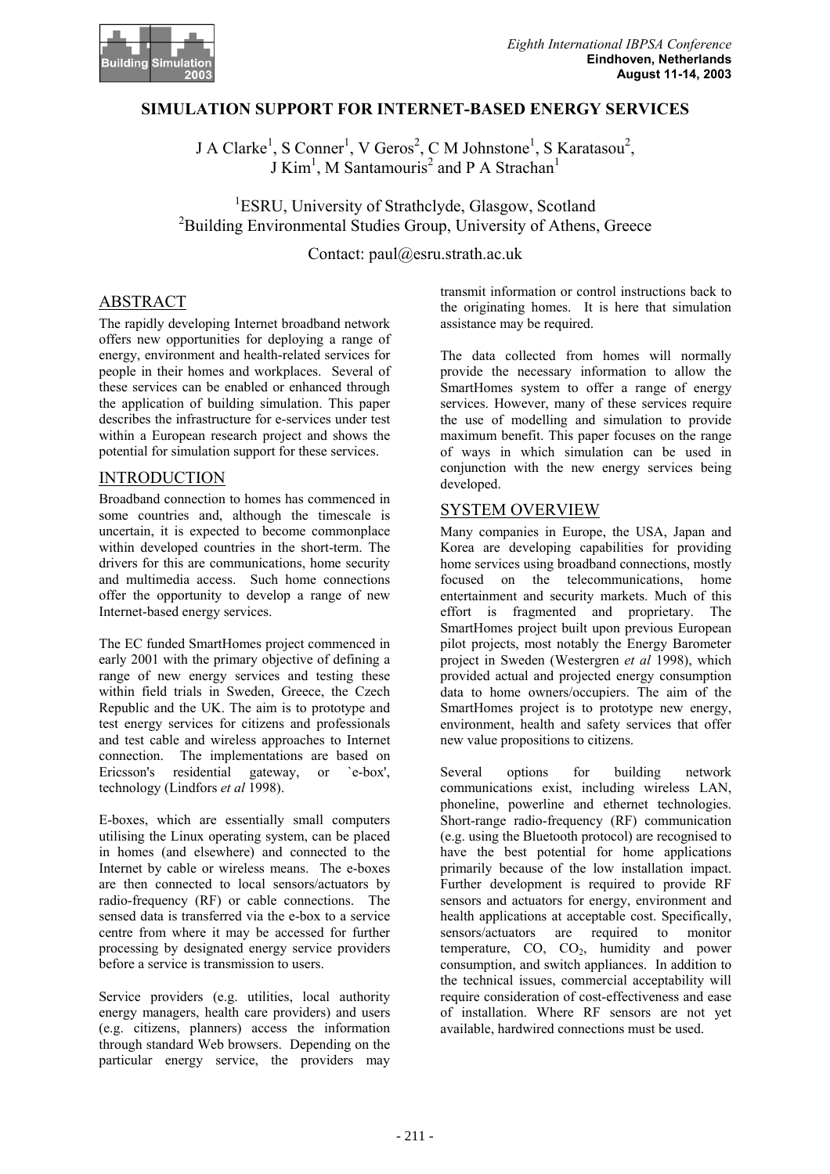

## **SIMULATION SUPPORT FOR INTERNET-BASED ENERGY SERVICES**

J A Clarke<sup>1</sup>, S Conner<sup>1</sup>, V Geros<sup>2</sup>, C M Johnstone<sup>1</sup>, S Karatasou<sup>2</sup>,  $J$  Kim<sup>1</sup>, M Santamouris<sup>2</sup> and P A Strachan<sup>1</sup>

<sup>1</sup>ESRU, University of Strathclyde, Glasgow, Scotland <sup>2</sup>Building Environmental Studies Group, University of Athens, Greece

Contact: paul@esru.strath.ac.uk

### ABSTRACT

The rapidly developing Internet broadband network offers new opportunities for deploying a range of energy, environment and health-related services for people in their homes and workplaces. Several of these services can be enabled or enhanced through the application of building simulation. This paper describes the infrastructure for e-services under test within a European research project and shows the potential for simulation support for these services.

### INTRODUCTION

Broadband connection to homes has commenced in some countries and, although the timescale is uncertain, it is expected to become commonplace within developed countries in the short-term. The drivers for this are communications, home security and multimedia access. Such home connections offer the opportunity to develop a range of new Internet-based energy services.

The EC funded SmartHomes project commenced in early 2001 with the primary objective of defining a range of new energy services and testing these within field trials in Sweden, Greece, the Czech Republic and the UK. The aim is to prototype and test energy services for citizens and professionals and test cable and wireless approaches to Internet connection. The implementations are based on Ericsson's residential gateway, or `e-box', technology (Lindfors *et al* 1998).

E-boxes, which are essentially small computers utilising the Linux operating system, can be placed in homes (and elsewhere) and connected to the Internet by cable or wireless means. The e-boxes are then connected to local sensors/actuators by radio-frequency (RF) or cable connections. The sensed data is transferred via the e-box to a service centre from where it may be accessed for further processing by designated energy service providers before a service is transmission to users.

Service providers (e.g. utilities, local authority energy managers, health care providers) and users (e.g. citizens, planners) access the information through standard Web browsers. Depending on the particular energy service, the providers may

transmit information or control instructions back to the originating homes. It is here that simulation assistance may be required.

The data collected from homes will normally provide the necessary information to allow the SmartHomes system to offer a range of energy services. However, many of these services require the use of modelling and simulation to provide maximum benefit. This paper focuses on the range of ways in which simulation can be used in conjunction with the new energy services being developed.

#### SYSTEM OVERVIEW

Many companies in Europe, the USA, Japan and Korea are developing capabilities for providing home services using broadband connections, mostly focused on the telecommunications, home entertainment and security markets. Much of this effort is fragmented and proprietary. The SmartHomes project built upon previous European pilot projects, most notably the Energy Barometer project in Sweden (Westergren *et al* 1998), which provided actual and projected energy consumption data to home owners/occupiers. The aim of the SmartHomes project is to prototype new energy, environment, health and safety services that offer new value propositions to citizens.

Several options for building network communications exist, including wireless LAN, phoneline, powerline and ethernet technologies. Short-range radio-frequency (RF) communication (e.g. using the Bluetooth protocol) are recognised to have the best potential for home applications primarily because of the low installation impact. Further development is required to provide RF sensors and actuators for energy, environment and health applications at acceptable cost. Specifically, sensors/actuators are required to monitor temperature,  $CO$ ,  $CO<sub>2</sub>$ , humidity and power consumption, and switch appliances. In addition to the technical issues, commercial acceptability will require consideration of cost-effectiveness and ease of installation. Where RF sensors are not yet available, hardwired connections must be used.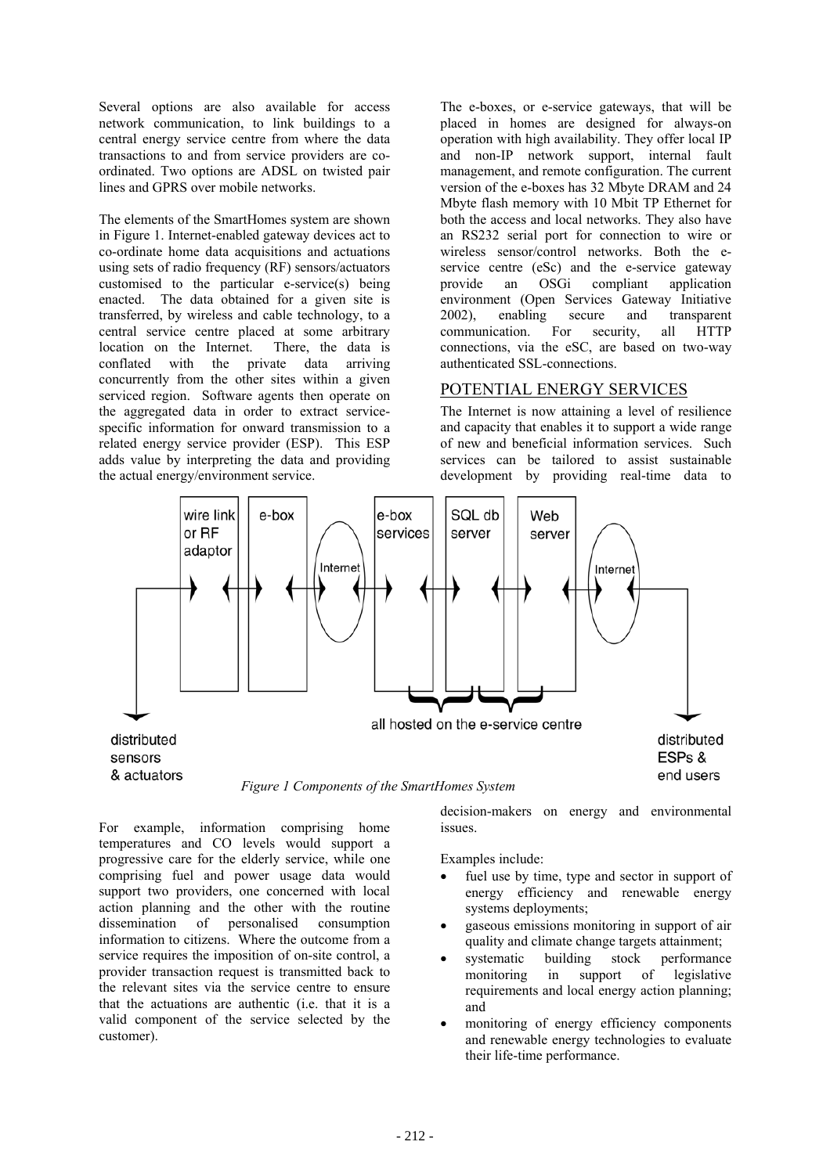Several options are also available for access network communication, to link buildings to a central energy service centre from where the data transactions to and from service providers are coordinated. Two options are ADSL on twisted pair lines and GPRS over mobile networks.

The elements of the SmartHomes system are shown in Figure 1. Internet-enabled gateway devices act to co-ordinate home data acquisitions and actuations using sets of radio frequency (RF) sensors/actuators customised to the particular e-service(s) being enacted. The data obtained for a given site is transferred, by wireless and cable technology, to a central service centre placed at some arbitrary location on the Internet. There, the data is conflated with the private data arriving concurrently from the other sites within a given serviced region. Software agents then operate on the aggregated data in order to extract servicespecific information for onward transmission to a related energy service provider (ESP). This ESP adds value by interpreting the data and providing the actual energy/environment service.

The e-boxes, or e-service gateways, that will be placed in homes are designed for always-on operation with high availability. They offer local IP and non-IP network support, internal fault management, and remote configuration. The current version of the e-boxes has 32 Mbyte DRAM and 24 Mbyte flash memory with 10 Mbit TP Ethernet for both the access and local networks. They also have an RS232 serial port for connection to wire or wireless sensor/control networks. Both the eservice centre (eSc) and the e-service gateway provide an OSGi compliant application environment (Open Services Gateway Initiative<br>2002). enabling secure and transparent 2002), enabling secure and transparent communication. For security, all HTTP connections, via the eSC, are based on two-way authenticated SSL-connections.

### POTENTIAL ENERGY SERVICES

The Internet is now attaining a level of resilience and capacity that enables it to support a wide range of new and beneficial information services. Such services can be tailored to assist sustainable development by providing real-time data to



For example, information comprising home temperatures and CO levels would support a progressive care for the elderly service, while one comprising fuel and power usage data would support two providers, one concerned with local action planning and the other with the routine dissemination of personalised consumption information to citizens. Where the outcome from a service requires the imposition of on-site control, a provider transaction request is transmitted back to the relevant sites via the service centre to ensure that the actuations are authentic (i.e. that it is a valid component of the service selected by the customer).

decision-makers on energy and environmental issues.

Examples include:

- fuel use by time, type and sector in support of energy efficiency and renewable energy systems deployments;
- gaseous emissions monitoring in support of air quality and climate change targets attainment;
- systematic building stock performance monitoring in support of legislative requirements and local energy action planning; and
- monitoring of energy efficiency components and renewable energy technologies to evaluate their life-time performance.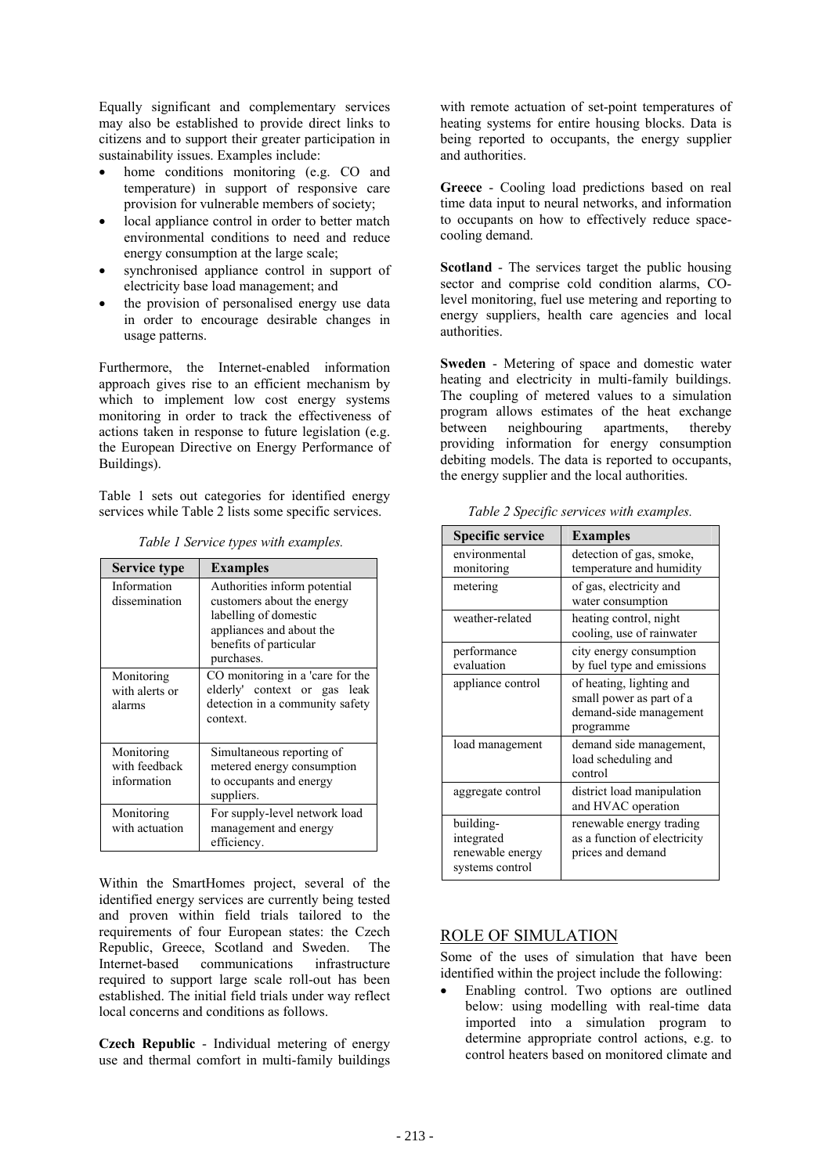Equally significant and complementary services may also be established to provide direct links to citizens and to support their greater participation in sustainability issues. Examples include:

- home conditions monitoring (e.g. CO and temperature) in support of responsive care provision for vulnerable members of society;
- local appliance control in order to better match environmental conditions to need and reduce energy consumption at the large scale;
- synchronised appliance control in support of electricity base load management; and
- the provision of personalised energy use data in order to encourage desirable changes in usage patterns.

Furthermore, the Internet-enabled information approach gives rise to an efficient mechanism by which to implement low cost energy systems monitoring in order to track the effectiveness of actions taken in response to future legislation (e.g. the European Directive on Energy Performance of Buildings).

Table 1 sets out categories for identified energy services while Table 2 lists some specific services.

| <b>Service type</b>                        | <b>Examples</b>                                                                                                                                         |
|--------------------------------------------|---------------------------------------------------------------------------------------------------------------------------------------------------------|
| Information<br>dissemination               | Authorities inform potential<br>customers about the energy<br>labelling of domestic<br>appliances and about the<br>benefits of particular<br>purchases. |
| Monitoring<br>with alerts or<br>alarms     | CO monitoring in a 'care for the<br>elderly' context or gas leak<br>detection in a community safety<br>context.                                         |
| Monitoring<br>with feedback<br>information | Simultaneous reporting of<br>metered energy consumption<br>to occupants and energy<br>suppliers.                                                        |
| Monitoring<br>with actuation               | For supply-level network load<br>management and energy<br>efficiency.                                                                                   |

*Table 1 Service types with examples.* 

Within the SmartHomes project, several of the identified energy services are currently being tested and proven within field trials tailored to the requirements of four European states: the Czech Republic, Greece, Scotland and Sweden. The Internet-based communications infrastructure required to support large scale roll-out has been established. The initial field trials under way reflect local concerns and conditions as follows.

**Czech Republic** - Individual metering of energy use and thermal comfort in multi-family buildings with remote actuation of set-point temperatures of heating systems for entire housing blocks. Data is being reported to occupants, the energy supplier and authorities.

**Greece** - Cooling load predictions based on real time data input to neural networks, and information to occupants on how to effectively reduce spacecooling demand.

**Scotland** - The services target the public housing sector and comprise cold condition alarms, COlevel monitoring, fuel use metering and reporting to energy suppliers, health care agencies and local authorities.

**Sweden** - Metering of space and domestic water heating and electricity in multi-family buildings. The coupling of metered values to a simulation program allows estimates of the heat exchange between neighbouring apartments, thereby providing information for energy consumption debiting models. The data is reported to occupants, the energy supplier and the local authorities.

| Table 2 Specific services with examples. |
|------------------------------------------|
|                                          |

| <b>Specific service</b>                                        | <b>Examples</b>                                                                             |
|----------------------------------------------------------------|---------------------------------------------------------------------------------------------|
| environmental<br>monitoring                                    | detection of gas, smoke,<br>temperature and humidity                                        |
| metering                                                       | of gas, electricity and<br>water consumption                                                |
| weather-related                                                | heating control, night<br>cooling, use of rainwater                                         |
| performance<br>evaluation                                      | city energy consumption<br>by fuel type and emissions                                       |
| appliance control                                              | of heating, lighting and<br>small power as part of a<br>demand-side management<br>programme |
| load management                                                | demand side management,<br>load scheduling and<br>control                                   |
| aggregate control                                              | district load manipulation<br>and HVAC operation                                            |
| building-<br>integrated<br>renewable energy<br>systems control | renewable energy trading<br>as a function of electricity<br>prices and demand               |

### ROLE OF SIMULATION

Some of the uses of simulation that have been identified within the project include the following:

• Enabling control. Two options are outlined below: using modelling with real-time data imported into a simulation program to determine appropriate control actions, e.g. to control heaters based on monitored climate and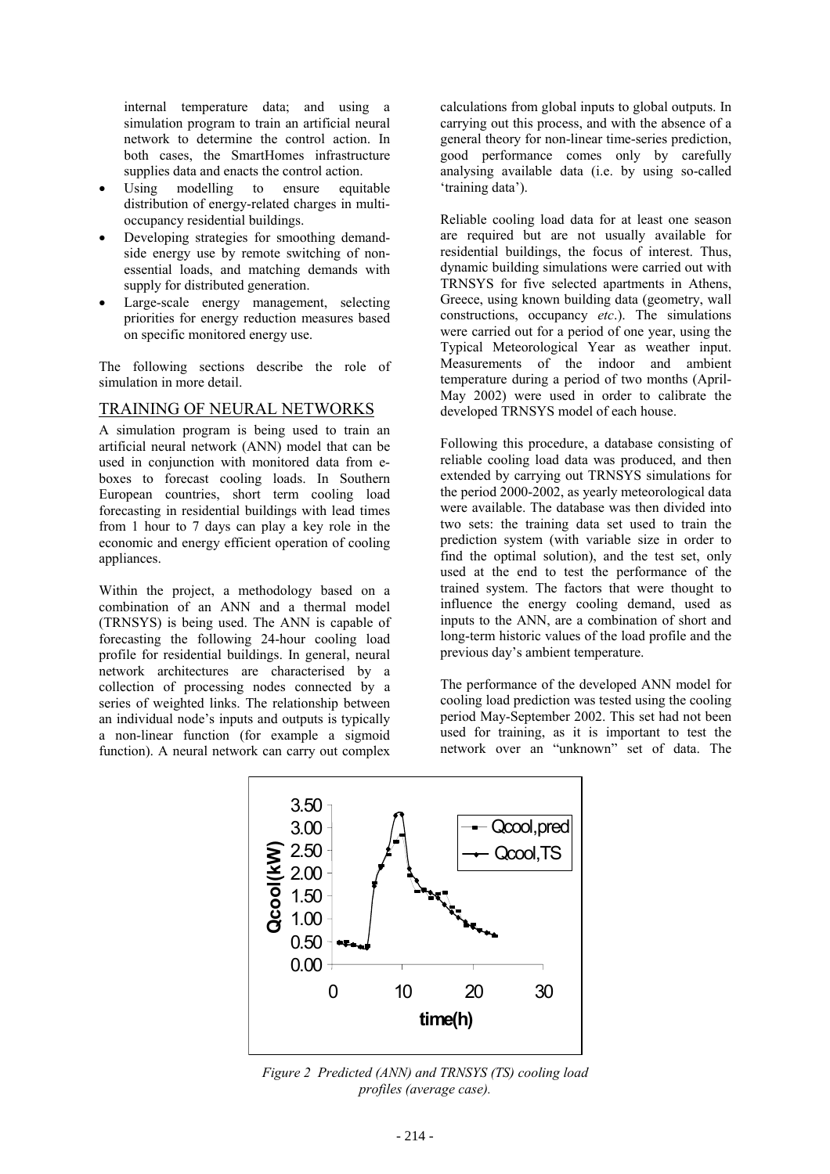internal temperature data; and using a simulation program to train an artificial neural network to determine the control action. In both cases, the SmartHomes infrastructure supplies data and enacts the control action.

- Using modelling to ensure equitable distribution of energy-related charges in multioccupancy residential buildings.
- Developing strategies for smoothing demandside energy use by remote switching of nonessential loads, and matching demands with supply for distributed generation.
- Large-scale energy management, selecting priorities for energy reduction measures based on specific monitored energy use.

The following sections describe the role of simulation in more detail.

## TRAINING OF NEURAL NETWORKS

A simulation program is being used to train an artificial neural network (ANN) model that can be used in conjunction with monitored data from eboxes to forecast cooling loads. In Southern European countries, short term cooling load forecasting in residential buildings with lead times from 1 hour to 7 days can play a key role in the economic and energy efficient operation of cooling appliances.

Within the project, a methodology based on a combination of an ANN and a thermal model (TRNSYS) is being used. The ANN is capable of forecasting the following 24-hour cooling load profile for residential buildings. In general, neural network architectures are characterised by a collection of processing nodes connected by a series of weighted links. The relationship between an individual node's inputs and outputs is typically a non-linear function (for example a sigmoid function). A neural network can carry out complex

calculations from global inputs to global outputs. In carrying out this process, and with the absence of a general theory for non-linear time-series prediction, good performance comes only by carefully analysing available data (i.e. by using so-called 'training data').

Reliable cooling load data for at least one season are required but are not usually available for residential buildings, the focus of interest. Thus, dynamic building simulations were carried out with TRNSYS for five selected apartments in Athens, Greece, using known building data (geometry, wall constructions, occupancy *etc*.). The simulations were carried out for a period of one year, using the Typical Meteorological Year as weather input. Measurements of the indoor and ambient temperature during a period of two months (April-May 2002) were used in order to calibrate the developed TRNSYS model of each house.

Following this procedure, a database consisting of reliable cooling load data was produced, and then extended by carrying out TRNSYS simulations for the period 2000-2002, as yearly meteorological data were available. The database was then divided into two sets: the training data set used to train the prediction system (with variable size in order to find the optimal solution), and the test set, only used at the end to test the performance of the trained system. The factors that were thought to influence the energy cooling demand, used as inputs to the ANN, are a combination of short and long-term historic values of the load profile and the previous day's ambient temperature.

The performance of the developed ANN model for cooling load prediction was tested using the cooling period May-September 2002. This set had not been used for training, as it is important to test the network over an "unknown" set of data. The



*Figure 2 Predicted (ANN) and TRNSYS (TS) cooling load profiles (average case).*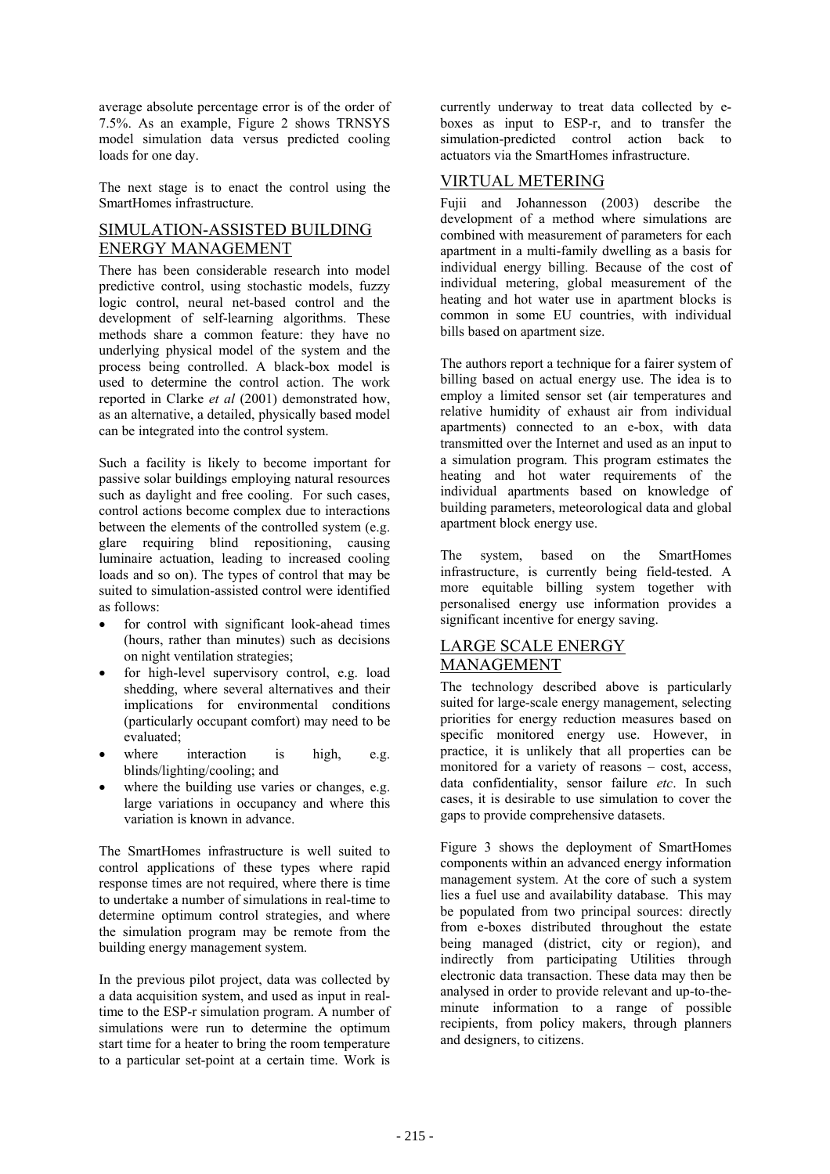average absolute percentage error is of the order of 7.5%. As an example, Figure 2 shows TRNSYS model simulation data versus predicted cooling loads for one day.

The next stage is to enact the control using the SmartHomes infrastructure.

# SIMULATION-ASSISTED BUILDING ENERGY MANAGEMENT

There has been considerable research into model predictive control, using stochastic models, fuzzy logic control, neural net-based control and the development of self-learning algorithms. These methods share a common feature: they have no underlying physical model of the system and the process being controlled. A black-box model is used to determine the control action. The work reported in Clarke *et al* (2001) demonstrated how, as an alternative, a detailed, physically based model can be integrated into the control system.

Such a facility is likely to become important for passive solar buildings employing natural resources such as daylight and free cooling. For such cases, control actions become complex due to interactions between the elements of the controlled system (e.g. glare requiring blind repositioning, causing luminaire actuation, leading to increased cooling loads and so on). The types of control that may be suited to simulation-assisted control were identified as follows:

- for control with significant look-ahead times (hours, rather than minutes) such as decisions on night ventilation strategies;
- for high-level supervisory control, e.g. load shedding, where several alternatives and their implications for environmental conditions (particularly occupant comfort) may need to be evaluated;
- where interaction is high, e.g. blinds/lighting/cooling; and
- where the building use varies or changes, e.g. large variations in occupancy and where this variation is known in advance.

The SmartHomes infrastructure is well suited to control applications of these types where rapid response times are not required, where there is time to undertake a number of simulations in real-time to determine optimum control strategies, and where the simulation program may be remote from the building energy management system.

In the previous pilot project, data was collected by a data acquisition system, and used as input in realtime to the ESP-r simulation program. A number of simulations were run to determine the optimum start time for a heater to bring the room temperature to a particular set-point at a certain time. Work is

currently underway to treat data collected by eboxes as input to ESP-r, and to transfer the simulation-predicted control action back to actuators via the SmartHomes infrastructure.

## VIRTUAL METERING

Fujii and Johannesson (2003) describe the development of a method where simulations are combined with measurement of parameters for each apartment in a multi-family dwelling as a basis for individual energy billing. Because of the cost of individual metering, global measurement of the heating and hot water use in apartment blocks is common in some EU countries, with individual bills based on apartment size.

The authors report a technique for a fairer system of billing based on actual energy use. The idea is to employ a limited sensor set (air temperatures and relative humidity of exhaust air from individual apartments) connected to an e-box, with data transmitted over the Internet and used as an input to a simulation program. This program estimates the heating and hot water requirements of the individual apartments based on knowledge of building parameters, meteorological data and global apartment block energy use.

The system, based on the SmartHomes infrastructure, is currently being field-tested. A more equitable billing system together with personalised energy use information provides a significant incentive for energy saving.

# LARGE SCALE ENERGY MANAGEMENT

The technology described above is particularly suited for large-scale energy management, selecting priorities for energy reduction measures based on specific monitored energy use. However, in practice, it is unlikely that all properties can be monitored for a variety of reasons – cost, access, data confidentiality, sensor failure *etc*. In such cases, it is desirable to use simulation to cover the gaps to provide comprehensive datasets.

Figure 3 shows the deployment of SmartHomes components within an advanced energy information management system. At the core of such a system lies a fuel use and availability database. This may be populated from two principal sources: directly from e-boxes distributed throughout the estate being managed (district, city or region), and indirectly from participating Utilities through electronic data transaction. These data may then be analysed in order to provide relevant and up-to-theminute information to a range of possible recipients, from policy makers, through planners and designers, to citizens.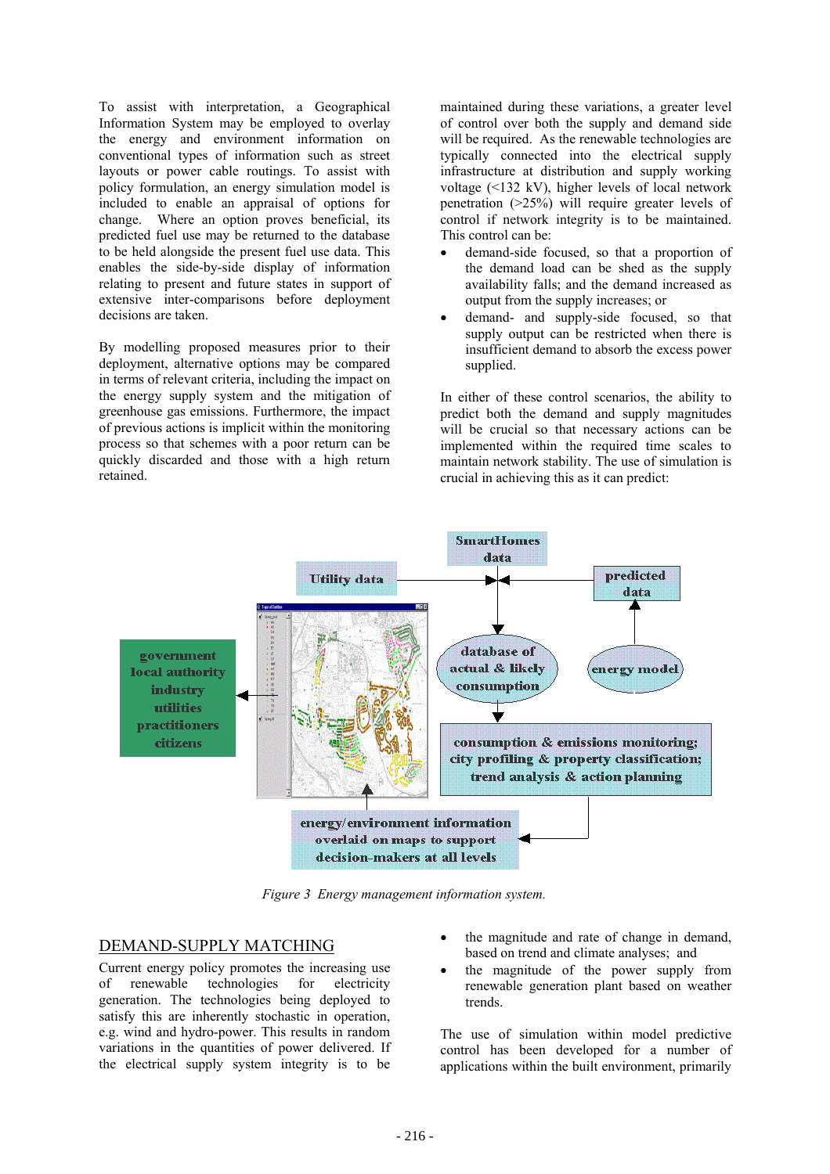To assist with interpretation, a Geographical Information System may be employed to overlay the energy and environment information on conventional types of information such as street layouts or power cable routings. To assist with policy formulation, an energy simulation model is included to enable an appraisal of options for change. Where an option proves beneficial, its predicted fuel use may be returned to the database to be held alongside the present fuel use data. This enables the side-by-side display of information relating to present and future states in support of extensive inter-comparisons before deployment decisions are taken.

By modelling proposed measures prior to their deployment, alternative options may be compared in terms of relevant criteria, including the impact on the energy supply system and the mitigation of greenhouse gas emissions. Furthermore, the impact of previous actions is implicit within the monitoring process so that schemes with a poor return can be quickly discarded and those with a high return retained.

maintained during these variations, a greater level of control over both the supply and demand side will be required. As the renewable technologies are typically connected into the electrical supply infrastructure at distribution and supply working voltage (<132 kV), higher levels of local network penetration (>25%) will require greater levels of control if network integrity is to be maintained. This control can be:

- demand-side focused, so that a proportion of the demand load can be shed as the supply availability falls; and the demand increased as output from the supply increases; or
- demand- and supply-side focused, so that supply output can be restricted when there is insufficient demand to absorb the excess power supplied.

In either of these control scenarios, the ability to predict both the demand and supply magnitudes will be crucial so that necessary actions can be implemented within the required time scales to maintain network stability. The use of simulation is crucial in achieving this as it can predict:



*Figure 3 Energy management information system.* 

### DEMAND-SUPPLY MATCHING

Current energy policy promotes the increasing use of renewable technologies for electricity generation. The technologies being deployed to satisfy this are inherently stochastic in operation. e.g. wind and hydro-power. This results in random variations in the quantities of power delivered. If the electrical supply system integrity is to be

- the magnitude and rate of change in demand, based on trend and climate analyses; and
- the magnitude of the power supply from renewable generation plant based on weather trends.

The use of simulation within model predictive control has been developed for a number of applications within the built environment, primarily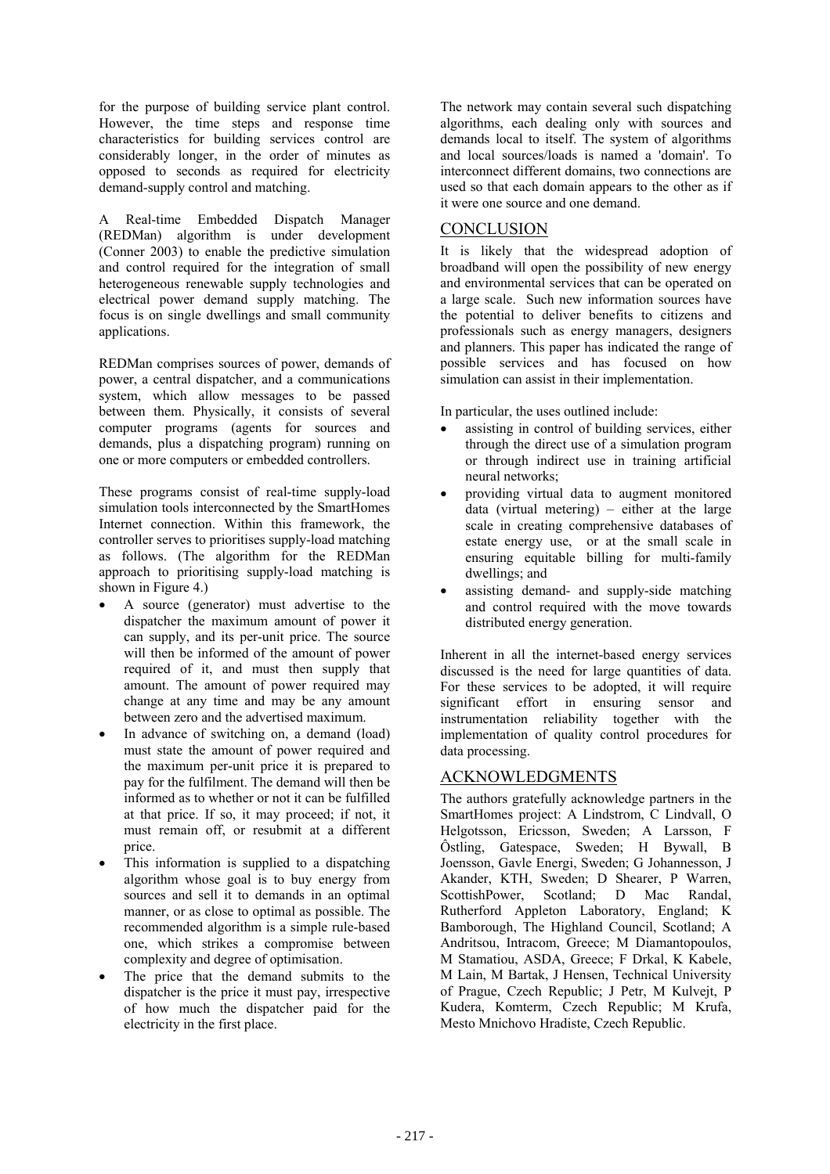for the purpose of building service plant control. However, the time steps and response time characteristics for building services control are considerably longer, in the order of minutes as opposed to seconds as required for electricity demand-supply control and matching.

A Real-time Embedded Dispatch Manager (REDMan) algorithm is under development (Conner 2003) to enable the predictive simulation and control required for the integration of small heterogeneous renewable supply technologies and electrical power demand supply matching. The focus is on single dwellings and small community applications.

REDMan comprises sources of power, demands of power, a central dispatcher, and a communications system, which allow messages to be passed between them. Physically, it consists of several computer programs (agents for sources and demands, plus a dispatching program) running on one or more computers or embedded controllers.

These programs consist of real-time supply-load simulation tools interconnected by the SmartHomes Internet connection. Within this framework, the controller serves to prioritises supply-load matching as follows. (The algorithm for the REDMan approach to prioritising supply-load matching is shown in Figure 4.)

- A source (generator) must advertise to the dispatcher the maximum amount of power it can supply, and its per-unit price. The source will then be informed of the amount of power required of it, and must then supply that amount. The amount of power required may change at any time and may be any amount between zero and the advertised maximum.
- In advance of switching on, a demand (load) must state the amount of power required and the maximum per-unit price it is prepared to pay for the fulfilment. The demand will then be informed as to whether or not it can be fulfilled at that price. If so, it may proceed; if not, it must remain off, or resubmit at a different price.
- This information is supplied to a dispatching algorithm whose goal is to buy energy from sources and sell it to demands in an optimal manner, or as close to optimal as possible. The recommended algorithm is a simple rule-based one, which strikes a compromise between complexity and degree of optimisation.
- The price that the demand submits to the dispatcher is the price it must pay, irrespective of how much the dispatcher paid for the electricity in the first place.

The network may contain several such dispatching algorithms, each dealing only with sources and demands local to itself. The system of algorithms and local sources/loads is named a 'domain'. To interconnect different domains, two connections are used so that each domain appears to the other as if it were one source and one demand.

## **CONCLUSION**

It is likely that the widespread adoption of broadband will open the possibility of new energy and environmental services that can be operated on a large scale. Such new information sources have the potential to deliver benefits to citizens and professionals such as energy managers, designers and planners. This paper has indicated the range of possible services and has focused on how simulation can assist in their implementation.

In particular, the uses outlined include:

- assisting in control of building services, either through the direct use of a simulation program or through indirect use in training artificial neural networks;
- providing virtual data to augment monitored data (virtual metering) – either at the large scale in creating comprehensive databases of estate energy use, or at the small scale in ensuring equitable billing for multi-family dwellings; and
- assisting demand- and supply-side matching and control required with the move towards distributed energy generation.

Inherent in all the internet-based energy services discussed is the need for large quantities of data. For these services to be adopted, it will require significant effort in ensuring sensor and instrumentation reliability together with the implementation of quality control procedures for data processing.

# ACKNOWLEDGMENTS

The authors gratefully acknowledge partners in the SmartHomes project: A Lindstrom, C Lindvall, O Helgotsson, Ericsson, Sweden; A Larsson, F Ôstling, Gatespace, Sweden; H Bywall, B Joensson, Gavle Energi, Sweden; G Johannesson, J Akander, KTH, Sweden; D Shearer, P Warren, ScottishPower, Scotland; D Mac Randal, Rutherford Appleton Laboratory, England; K Bamborough, The Highland Council, Scotland; A Andritsou, Intracom, Greece; M Diamantopoulos, M Stamatiou, ASDA, Greece; F Drkal, K Kabele, M Lain, M Bartak, J Hensen, Technical University of Prague, Czech Republic; J Petr, M Kulvejt, P Kudera, Komterm, Czech Republic; M Krufa, Mesto Mnichovo Hradiste, Czech Republic.